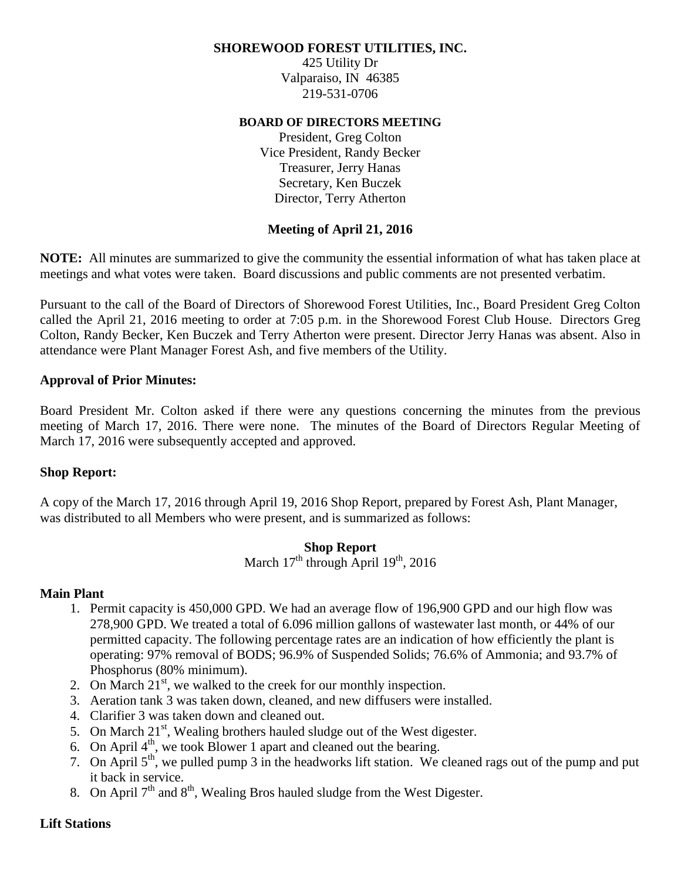## **SHOREWOOD FOREST UTILITIES, INC.**

425 Utility Dr Valparaiso, IN 46385 219-531-0706

### **BOARD OF DIRECTORS MEETING**

President, Greg Colton Vice President, Randy Becker Treasurer, Jerry Hanas Secretary, Ken Buczek Director, Terry Atherton

## **Meeting of April 21, 2016**

**NOTE:** All minutes are summarized to give the community the essential information of what has taken place at meetings and what votes were taken. Board discussions and public comments are not presented verbatim.

Pursuant to the call of the Board of Directors of Shorewood Forest Utilities, Inc., Board President Greg Colton called the April 21, 2016 meeting to order at 7:05 p.m. in the Shorewood Forest Club House. Directors Greg Colton, Randy Becker, Ken Buczek and Terry Atherton were present. Director Jerry Hanas was absent. Also in attendance were Plant Manager Forest Ash, and five members of the Utility.

## **Approval of Prior Minutes:**

Board President Mr. Colton asked if there were any questions concerning the minutes from the previous meeting of March 17, 2016. There were none. The minutes of the Board of Directors Regular Meeting of March 17, 2016 were subsequently accepted and approved.

## **Shop Report:**

A copy of the March 17, 2016 through April 19, 2016 Shop Report, prepared by Forest Ash, Plant Manager, was distributed to all Members who were present, and is summarized as follows:

## **Shop Report**

March  $17<sup>th</sup>$  through April  $19<sup>th</sup>$ , 2016

#### **Main Plant**

- 1. Permit capacity is 450,000 GPD. We had an average flow of 196,900 GPD and our high flow was 278,900 GPD. We treated a total of 6.096 million gallons of wastewater last month, or 44% of our permitted capacity. The following percentage rates are an indication of how efficiently the plant is operating: 97% removal of BODS; 96.9% of Suspended Solids; 76.6% of Ammonia; and 93.7% of Phosphorus (80% minimum).
- 2. On March  $21<sup>st</sup>$ , we walked to the creek for our monthly inspection.
- 3. Aeration tank 3 was taken down, cleaned, and new diffusers were installed.
- 4. Clarifier 3 was taken down and cleaned out.
- 5. On March  $21<sup>st</sup>$ , Wealing brothers hauled sludge out of the West digester.
- 6. On April  $4<sup>th</sup>$ , we took Blower 1 apart and cleaned out the bearing.
- 7. On April 5<sup>th</sup>, we pulled pump 3 in the headworks lift station. We cleaned rags out of the pump and put it back in service.
- 8. On April  $7<sup>th</sup>$  and  $8<sup>th</sup>$ , Wealing Bros hauled sludge from the West Digester.

#### **Lift Stations**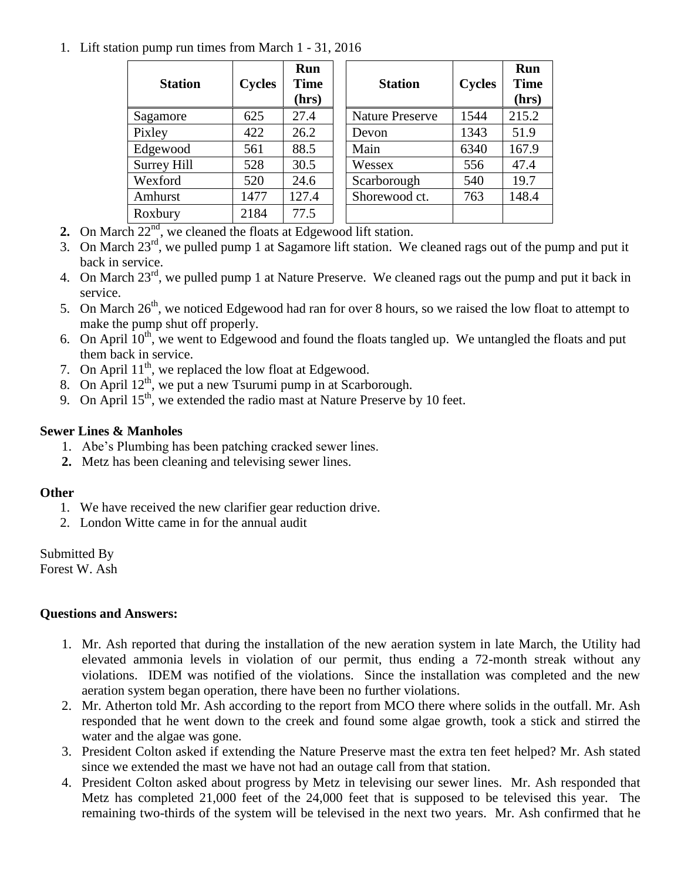## 1. Lift station pump run times from March 1 - 31, 2016

| <b>Station</b>         | <b>Cycles</b> | Run<br><b>Time</b><br>(hrs) | <b>Station</b>         | <b>Cycles</b> | Run<br><b>Time</b><br>(hrs) |
|------------------------|---------------|-----------------------------|------------------------|---------------|-----------------------------|
| Sagamore               | 625           | 27.4                        | <b>Nature Preserve</b> | 1544          | 215.2                       |
| Pixley                 | 422           | 26.2                        | Devon                  | 1343          | 51.9                        |
| Edgewood               | 561           | 88.5                        | Main                   | 6340          | 167.9                       |
| Surrey Hill            | 528           | 30.5                        | Wessex                 | 556           | 47.4                        |
| Wexford                | 520           | 24.6                        | Scarborough            | 540           | 19.7                        |
| Amhurst                | 1477          | 127.4                       | Shorewood ct.          | 763           | 148.4                       |
| Roxbury<br>$- - - n d$ | 2184          | 77.5                        |                        |               |                             |

- **2.** On March 22<sup>nd</sup>, we cleaned the floats at Edgewood lift station.
- 3. On March 23rd, we pulled pump 1 at Sagamore lift station. We cleaned rags out of the pump and put it back in service.
- 4. On March 23<sup>rd</sup>, we pulled pump 1 at Nature Preserve. We cleaned rags out the pump and put it back in service.
- 5. On March 26<sup>th</sup>, we noticed Edgewood had ran for over 8 hours, so we raised the low float to attempt to make the pump shut off properly.
- 6. On April  $10^{th}$ , we went to Edgewood and found the floats tangled up. We untangled the floats and put them back in service.
- 7. On April  $11^{th}$ , we replaced the low float at Edgewood.
- 8. On April  $12^{th}$ , we put a new Tsurumi pump in at Scarborough.
- 9. On April 15<sup>th</sup>, we extended the radio mast at Nature Preserve by 10 feet.

# **Sewer Lines & Manholes**

- 1. Abe's Plumbing has been patching cracked sewer lines.
- **2.** Metz has been cleaning and televising sewer lines.

# **Other**

- 1. We have received the new clarifier gear reduction drive.
- 2. London Witte came in for the annual audit

Submitted By

Forest W. Ash

# **Questions and Answers:**

- 1. Mr. Ash reported that during the installation of the new aeration system in late March, the Utility had elevated ammonia levels in violation of our permit, thus ending a 72-month streak without any violations. IDEM was notified of the violations. Since the installation was completed and the new aeration system began operation, there have been no further violations.
- 2. Mr. Atherton told Mr. Ash according to the report from MCO there where solids in the outfall. Mr. Ash responded that he went down to the creek and found some algae growth, took a stick and stirred the water and the algae was gone.
- 3. President Colton asked if extending the Nature Preserve mast the extra ten feet helped? Mr. Ash stated since we extended the mast we have not had an outage call from that station.
- 4. President Colton asked about progress by Metz in televising our sewer lines. Mr. Ash responded that Metz has completed 21,000 feet of the 24,000 feet that is supposed to be televised this year. The remaining two-thirds of the system will be televised in the next two years. Mr. Ash confirmed that he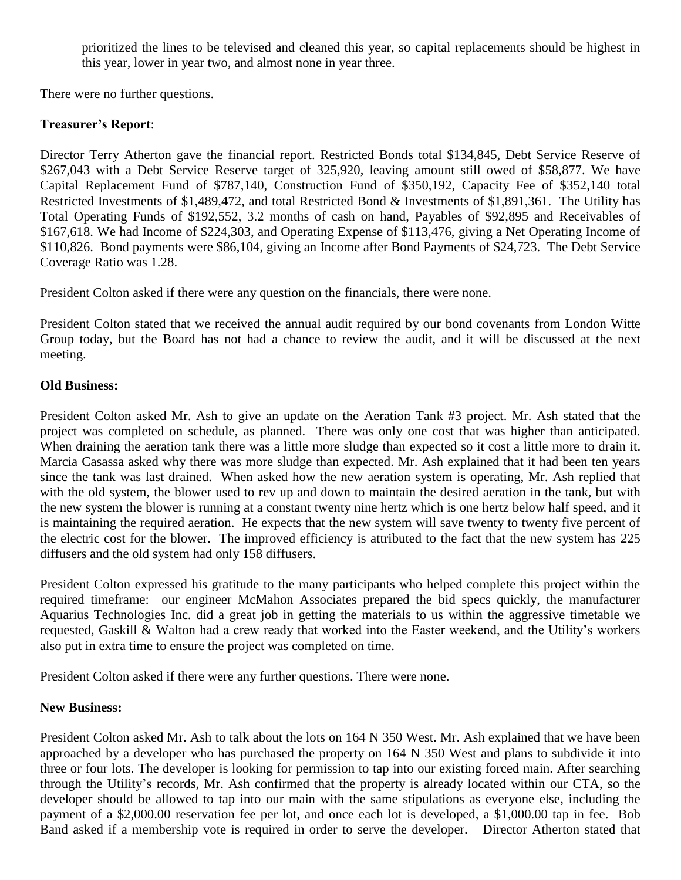prioritized the lines to be televised and cleaned this year, so capital replacements should be highest in this year, lower in year two, and almost none in year three.

There were no further questions.

# **Treasurer's Report**:

Director Terry Atherton gave the financial report. Restricted Bonds total \$134,845, Debt Service Reserve of \$267,043 with a Debt Service Reserve target of 325,920, leaving amount still owed of \$58,877. We have Capital Replacement Fund of \$787,140, Construction Fund of \$350,192, Capacity Fee of \$352,140 total Restricted Investments of \$1,489,472, and total Restricted Bond & Investments of \$1,891,361. The Utility has Total Operating Funds of \$192,552, 3.2 months of cash on hand, Payables of \$92,895 and Receivables of \$167,618. We had Income of \$224,303, and Operating Expense of \$113,476, giving a Net Operating Income of \$110,826. Bond payments were \$86,104, giving an Income after Bond Payments of \$24,723. The Debt Service Coverage Ratio was 1.28.

President Colton asked if there were any question on the financials, there were none.

President Colton stated that we received the annual audit required by our bond covenants from London Witte Group today, but the Board has not had a chance to review the audit, and it will be discussed at the next meeting.

# **Old Business:**

President Colton asked Mr. Ash to give an update on the Aeration Tank #3 project. Mr. Ash stated that the project was completed on schedule, as planned. There was only one cost that was higher than anticipated. When draining the aeration tank there was a little more sludge than expected so it cost a little more to drain it. Marcia Casassa asked why there was more sludge than expected. Mr. Ash explained that it had been ten years since the tank was last drained. When asked how the new aeration system is operating, Mr. Ash replied that with the old system, the blower used to rev up and down to maintain the desired aeration in the tank, but with the new system the blower is running at a constant twenty nine hertz which is one hertz below half speed, and it is maintaining the required aeration. He expects that the new system will save twenty to twenty five percent of the electric cost for the blower. The improved efficiency is attributed to the fact that the new system has 225 diffusers and the old system had only 158 diffusers.

President Colton expressed his gratitude to the many participants who helped complete this project within the required timeframe: our engineer McMahon Associates prepared the bid specs quickly, the manufacturer Aquarius Technologies Inc. did a great job in getting the materials to us within the aggressive timetable we requested, Gaskill & Walton had a crew ready that worked into the Easter weekend, and the Utility's workers also put in extra time to ensure the project was completed on time.

President Colton asked if there were any further questions. There were none.

# **New Business:**

President Colton asked Mr. Ash to talk about the lots on 164 N 350 West. Mr. Ash explained that we have been approached by a developer who has purchased the property on 164 N 350 West and plans to subdivide it into three or four lots. The developer is looking for permission to tap into our existing forced main. After searching through the Utility's records, Mr. Ash confirmed that the property is already located within our CTA, so the developer should be allowed to tap into our main with the same stipulations as everyone else, including the payment of a \$2,000.00 reservation fee per lot, and once each lot is developed, a \$1,000.00 tap in fee. Bob Band asked if a membership vote is required in order to serve the developer. Director Atherton stated that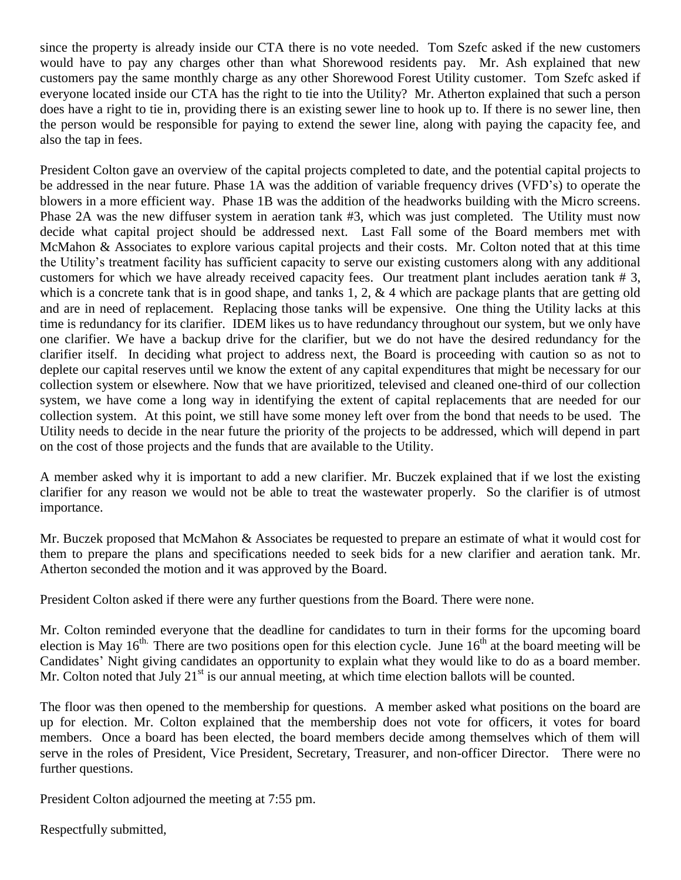since the property is already inside our CTA there is no vote needed. Tom Szefc asked if the new customers would have to pay any charges other than what Shorewood residents pay. Mr. Ash explained that new customers pay the same monthly charge as any other Shorewood Forest Utility customer. Tom Szefc asked if everyone located inside our CTA has the right to tie into the Utility? Mr. Atherton explained that such a person does have a right to tie in, providing there is an existing sewer line to hook up to. If there is no sewer line, then the person would be responsible for paying to extend the sewer line, along with paying the capacity fee, and also the tap in fees.

President Colton gave an overview of the capital projects completed to date, and the potential capital projects to be addressed in the near future. Phase 1A was the addition of variable frequency drives (VFD's) to operate the blowers in a more efficient way. Phase 1B was the addition of the headworks building with the Micro screens. Phase 2A was the new diffuser system in aeration tank #3, which was just completed. The Utility must now decide what capital project should be addressed next. Last Fall some of the Board members met with McMahon & Associates to explore various capital projects and their costs. Mr. Colton noted that at this time the Utility's treatment facility has sufficient capacity to serve our existing customers along with any additional customers for which we have already received capacity fees. Our treatment plant includes aeration tank # 3, which is a concrete tank that is in good shape, and tanks 1, 2, & 4 which are package plants that are getting old and are in need of replacement. Replacing those tanks will be expensive. One thing the Utility lacks at this time is redundancy for its clarifier. IDEM likes us to have redundancy throughout our system, but we only have one clarifier. We have a backup drive for the clarifier, but we do not have the desired redundancy for the clarifier itself. In deciding what project to address next, the Board is proceeding with caution so as not to deplete our capital reserves until we know the extent of any capital expenditures that might be necessary for our collection system or elsewhere. Now that we have prioritized, televised and cleaned one-third of our collection system, we have come a long way in identifying the extent of capital replacements that are needed for our collection system. At this point, we still have some money left over from the bond that needs to be used. The Utility needs to decide in the near future the priority of the projects to be addressed, which will depend in part on the cost of those projects and the funds that are available to the Utility.

A member asked why it is important to add a new clarifier. Mr. Buczek explained that if we lost the existing clarifier for any reason we would not be able to treat the wastewater properly. So the clarifier is of utmost importance.

Mr. Buczek proposed that McMahon & Associates be requested to prepare an estimate of what it would cost for them to prepare the plans and specifications needed to seek bids for a new clarifier and aeration tank. Mr. Atherton seconded the motion and it was approved by the Board.

President Colton asked if there were any further questions from the Board. There were none.

Mr. Colton reminded everyone that the deadline for candidates to turn in their forms for the upcoming board election is May  $16<sup>th</sup>$ . There are two positions open for this election cycle. June  $16<sup>th</sup>$  at the board meeting will be Candidates' Night giving candidates an opportunity to explain what they would like to do as a board member. Mr. Colton noted that July  $21<sup>st</sup>$  is our annual meeting, at which time election ballots will be counted.

The floor was then opened to the membership for questions. A member asked what positions on the board are up for election. Mr. Colton explained that the membership does not vote for officers, it votes for board members. Once a board has been elected, the board members decide among themselves which of them will serve in the roles of President, Vice President, Secretary, Treasurer, and non-officer Director. There were no further questions.

President Colton adjourned the meeting at 7:55 pm.

Respectfully submitted,